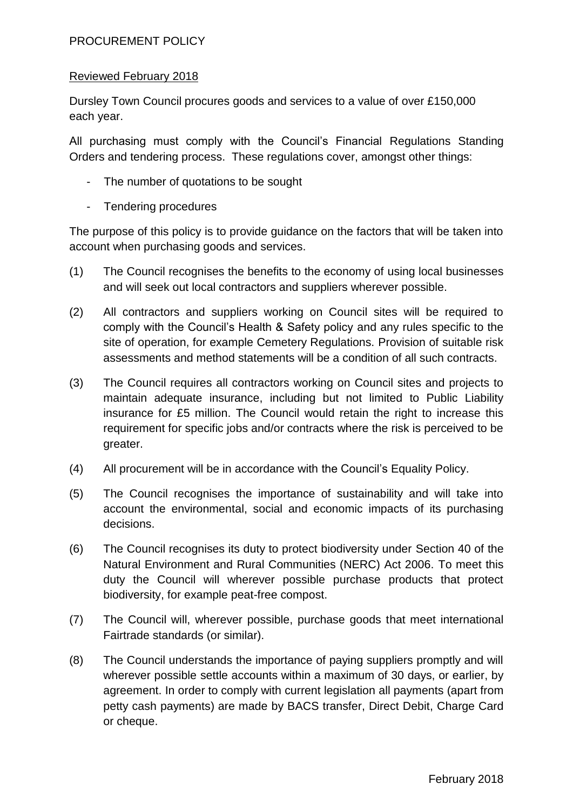### PROCUREMENT POLICY

#### Reviewed February 2018

Dursley Town Council procures goods and services to a value of over £150,000 each year.

All purchasing must comply with the Council's Financial Regulations Standing Orders and tendering process. These regulations cover, amongst other things:

- The number of quotations to be sought
- Tendering procedures

The purpose of this policy is to provide guidance on the factors that will be taken into account when purchasing goods and services.

- (1) The Council recognises the benefits to the economy of using local businesses and will seek out local contractors and suppliers wherever possible.
- (2) All contractors and suppliers working on Council sites will be required to comply with the Council's Health & Safety policy and any rules specific to the site of operation, for example Cemetery Regulations. Provision of suitable risk assessments and method statements will be a condition of all such contracts.
- (3) The Council requires all contractors working on Council sites and projects to maintain adequate insurance, including but not limited to Public Liability insurance for £5 million. The Council would retain the right to increase this requirement for specific jobs and/or contracts where the risk is perceived to be greater.
- (4) All procurement will be in accordance with the Council's Equality Policy.
- (5) The Council recognises the importance of sustainability and will take into account the environmental, social and economic impacts of its purchasing decisions.
- (6) The Council recognises its duty to protect biodiversity under Section 40 of the Natural Environment and Rural Communities (NERC) Act 2006. To meet this duty the Council will wherever possible purchase products that protect biodiversity, for example peat-free compost.
- (7) The Council will, wherever possible, purchase goods that meet international Fairtrade standards (or similar).
- (8) The Council understands the importance of paying suppliers promptly and will wherever possible settle accounts within a maximum of 30 days, or earlier, by agreement. In order to comply with current legislation all payments (apart from petty cash payments) are made by BACS transfer, Direct Debit, Charge Card or cheque.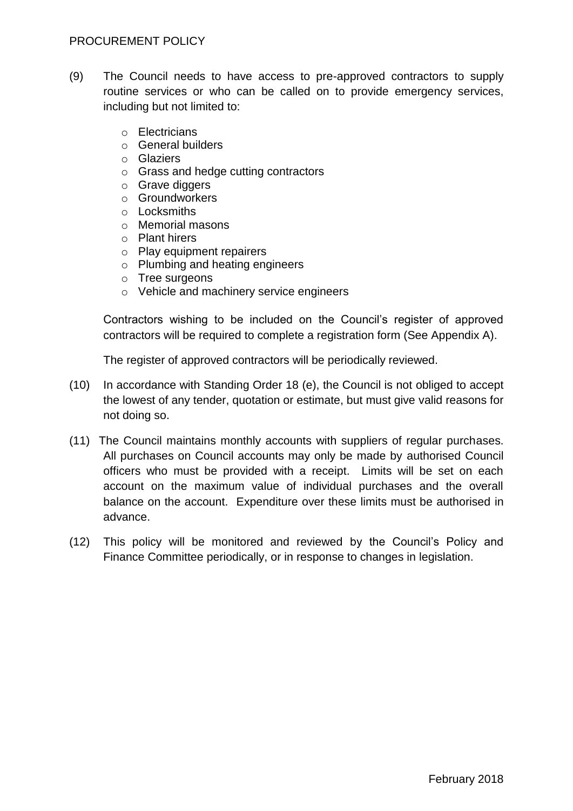#### PROCUREMENT POLICY

- (9) The Council needs to have access to pre-approved contractors to supply routine services or who can be called on to provide emergency services, including but not limited to:
	- o Electricians
	- o General builders
	- o Glaziers
	- o Grass and hedge cutting contractors
	- o Grave diggers
	- o Groundworkers
	- o Locksmiths
	- o Memorial masons
	- o Plant hirers
	- o Play equipment repairers
	- o Plumbing and heating engineers
	- o Tree surgeons
	- o Vehicle and machinery service engineers

Contractors wishing to be included on the Council's register of approved contractors will be required to complete a registration form (See Appendix A).

The register of approved contractors will be periodically reviewed.

- (10) In accordance with Standing Order 18 (e), the Council is not obliged to accept the lowest of any tender, quotation or estimate, but must give valid reasons for not doing so.
- (11) The Council maintains monthly accounts with suppliers of regular purchases. All purchases on Council accounts may only be made by authorised Council officers who must be provided with a receipt. Limits will be set on each account on the maximum value of individual purchases and the overall balance on the account. Expenditure over these limits must be authorised in advance.
- (12) This policy will be monitored and reviewed by the Council's Policy and Finance Committee periodically, or in response to changes in legislation.